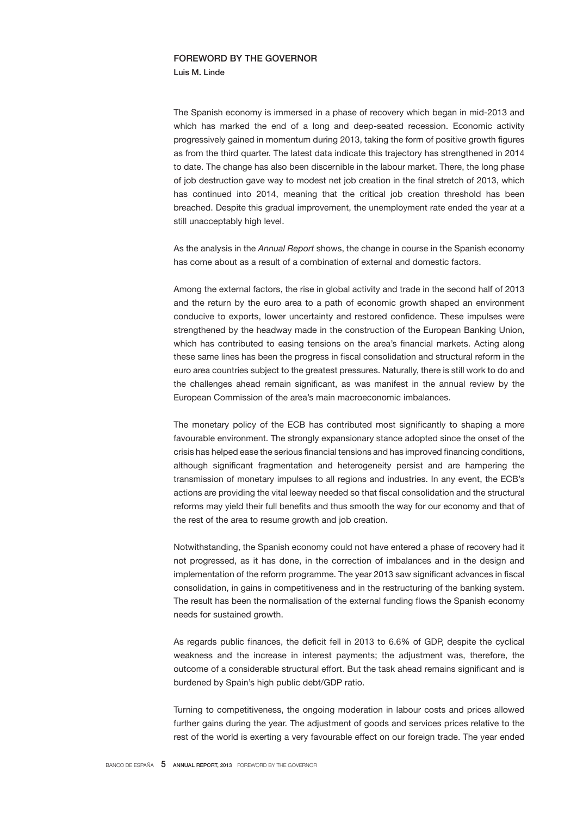## FOREWORD BY THE GOVERNOR

Luis M. Linde

The Spanish economy is immersed in a phase of recovery which began in mid-2013 and which has marked the end of a long and deep-seated recession. Economic activity progressively gained in momentum during 2013, taking the form of positive growth figures as from the third quarter. The latest data indicate this trajectory has strengthened in 2014 to date. The change has also been discernible in the labour market. There, the long phase of job destruction gave way to modest net job creation in the final stretch of 2013, which has continued into 2014, meaning that the critical job creation threshold has been breached. Despite this gradual improvement, the unemployment rate ended the year at a still unacceptably high level.

As the analysis in the *Annual Report* shows, the change in course in the Spanish economy has come about as a result of a combination of external and domestic factors.

Among the external factors, the rise in global activity and trade in the second half of 2013 and the return by the euro area to a path of economic growth shaped an environment conducive to exports, lower uncertainty and restored confidence. These impulses were strengthened by the headway made in the construction of the European Banking Union, which has contributed to easing tensions on the area's financial markets. Acting along these same lines has been the progress in fiscal consolidation and structural reform in the euro area countries subject to the greatest pressures. Naturally, there is still work to do and the challenges ahead remain significant, as was manifest in the annual review by the European Commission of the area's main macroeconomic imbalances.

The monetary policy of the ECB has contributed most significantly to shaping a more favourable environment. The strongly expansionary stance adopted since the onset of the crisis has helped ease the serious financial tensions and has improved financing conditions, although significant fragmentation and heterogeneity persist and are hampering the transmission of monetary impulses to all regions and industries. In any event, the ECB's actions are providing the vital leeway needed so that fiscal consolidation and the structural reforms may yield their full benefits and thus smooth the way for our economy and that of the rest of the area to resume growth and job creation.

Notwithstanding, the Spanish economy could not have entered a phase of recovery had it not progressed, as it has done, in the correction of imbalances and in the design and implementation of the reform programme. The year 2013 saw significant advances in fiscal consolidation, in gains in competitiveness and in the restructuring of the banking system. The result has been the normalisation of the external funding flows the Spanish economy needs for sustained growth.

As regards public finances, the deficit fell in 2013 to 6.6% of GDP, despite the cyclical weakness and the increase in interest payments; the adjustment was, therefore, the outcome of a considerable structural effort. But the task ahead remains significant and is burdened by Spain's high public debt/GDP ratio.

Turning to competitiveness, the ongoing moderation in labour costs and prices allowed further gains during the year. The adjustment of goods and services prices relative to the rest of the world is exerting a very favourable effect on our foreign trade. The year ended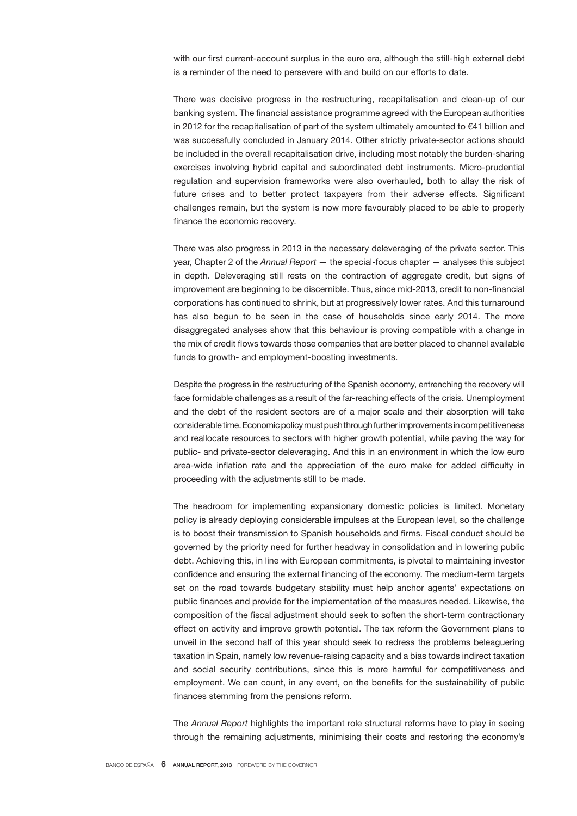with our first current-account surplus in the euro era, although the still-high external debt is a reminder of the need to persevere with and build on our efforts to date.

There was decisive progress in the restructuring, recapitalisation and clean-up of our banking system. The financial assistance programme agreed with the European authorities in 2012 for the recapitalisation of part of the system ultimately amounted to  $€41$  billion and was successfully concluded in January 2014. Other strictly private-sector actions should be included in the overall recapitalisation drive, including most notably the burden-sharing exercises involving hybrid capital and subordinated debt instruments. Micro-prudential regulation and supervision frameworks were also overhauled, both to allay the risk of future crises and to better protect taxpayers from their adverse effects. Significant challenges remain, but the system is now more favourably placed to be able to properly finance the economic recovery.

There was also progress in 2013 in the necessary deleveraging of the private sector. This year, Chapter 2 of the *Annual Report* — the special-focus chapter — analyses this subject in depth. Deleveraging still rests on the contraction of aggregate credit, but signs of improvement are beginning to be discernible. Thus, since mid-2013, credit to non-financial corporations has continued to shrink, but at progressively lower rates. And this turnaround has also begun to be seen in the case of households since early 2014. The more disaggregated analyses show that this behaviour is proving compatible with a change in the mix of credit flows towards those companies that are better placed to channel available funds to growth- and employment-boosting investments.

Despite the progress in the restructuring of the Spanish economy, entrenching the recovery will face formidable challenges as a result of the far-reaching effects of the crisis. Unemployment and the debt of the resident sectors are of a major scale and their absorption will take considerable time. Economic policy must push through further improvements in competitiveness and reallocate resources to sectors with higher growth potential, while paving the way for public- and private-sector deleveraging. And this in an environment in which the low euro area-wide inflation rate and the appreciation of the euro make for added difficulty in proceeding with the adjustments still to be made.

The headroom for implementing expansionary domestic policies is limited. Monetary policy is already deploying considerable impulses at the European level, so the challenge is to boost their transmission to Spanish households and firms. Fiscal conduct should be governed by the priority need for further headway in consolidation and in lowering public debt. Achieving this, in line with European commitments, is pivotal to maintaining investor confidence and ensuring the external financing of the economy. The medium-term targets set on the road towards budgetary stability must help anchor agents' expectations on public finances and provide for the implementation of the measures needed. Likewise, the composition of the fiscal adjustment should seek to soften the short-term contractionary effect on activity and improve growth potential. The tax reform the Government plans to unveil in the second half of this year should seek to redress the problems beleaguering taxation in Spain, namely low revenue-raising capacity and a bias towards indirect taxation and social security contributions, since this is more harmful for competitiveness and employment. We can count, in any event, on the benefits for the sustainability of public finances stemming from the pensions reform.

The *Annual Report* highlights the important role structural reforms have to play in seeing through the remaining adjustments, minimising their costs and restoring the economy's